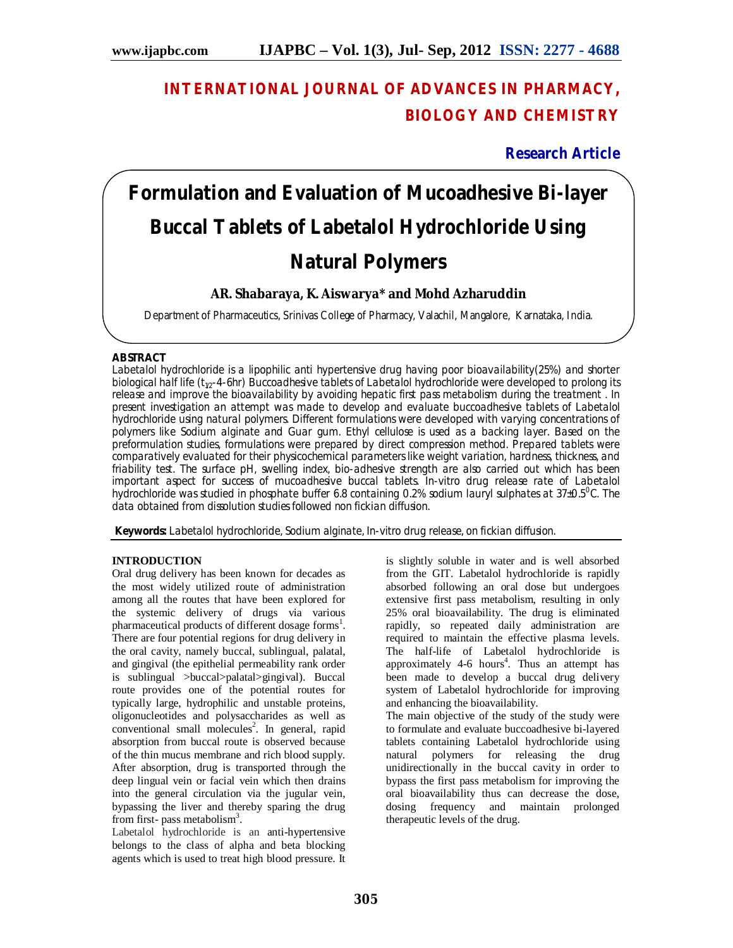# **INTERNATIONAL JOURNAL OF ADVANCES IN PHARMACY, BIOLOGY AND CHEMISTRY**

**Research Article**

# **Formulation and Evaluation of Mucoadhesive Bi-layer Buccal Tablets of Labetalol Hydrochloride Using Natural Polymers**

# **AR. Shabaraya, K. Aiswarya\* and Mohd Azharuddin**

Department of Pharmaceutics, Srinivas College of Pharmacy, Valachil, Mangalore, Karnataka, India.

# **ABSTRACT**

Labetalol hydrochloride is a lipophilic anti hypertensive drug having poor bioavailability(25%) and shorter biological half life ( $t_{1/2}$ -4-6hr) Buccoadhesive tablets of Labetalol hydrochloride were developed to prolong its release and improve the bioavailability by avoiding hepatic first pass metabolism during the treatment . In present investigation an attempt was made to develop and evaluate buccoadhesive tablets of Labetalol hydrochloride using natural polymers. Different formulations were developed with varying concentrations of polymers like Sodium alginate and Guar gum. Ethyl cellulose is used as a backing layer. Based on the preformulation studies, formulations were prepared by direct compression method. Prepared tablets were comparatively evaluated for their physicochemical parameters like weight variation, hardness, thickness, and friability test. The surface pH, swelling index, bio-adhesive strength are also carried out which has been important aspect for success of mucoadhesive buccal tablets. *In-vitro* drug release rate of Labetalol hydrochloride was studied in phosphate buffer 6.8 containing 0.2% sodium lauryl sulphates at 37±0.5<sup>o</sup>C. The data obtained from dissolution studies followed non fickian diffusion.

**Keywords:** Labetalol hydrochloride, Sodium alginate, *In-vitro* drug release, on fickian diffusion.

# **INTRODUCTION**

Oral drug delivery has been known for decades as the most widely utilized route of administration among all the routes that have been explored for the systemic delivery of drugs via various pharmaceutical products of different dosage forms<sup>1</sup>. There are four potential regions for drug delivery in the oral cavity, namely buccal, sublingual, palatal, and gingival (the epithelial permeability rank order is sublingual >buccal>palatal>gingival). Buccal route provides one of the potential routes for typically large, hydrophilic and unstable proteins, oligonucleotides and polysaccharides as well as conventional small molecules<sup>2</sup>. In general, rapid absorption from buccal route is observed because of the thin mucus membrane and rich blood supply. After absorption, drug is transported through the deep lingual vein or facial vein which then drains into the general circulation via the jugular vein, bypassing the liver and thereby sparing the drug from first- pass metabolism<sup>3</sup>.

Labetalol hydrochloride is an anti-hypertensive belongs to the class of alpha and beta blocking agents which is used to treat high blood pressure. It is slightly soluble in water and is well absorbed from the GIT. Labetalol hydrochloride is rapidly absorbed following an oral dose but undergoes extensive first pass metabolism, resulting in only 25% oral bioavailability. The drug is eliminated rapidly, so repeated daily administration are required to maintain the effective plasma levels. The half-life of Labetalol hydrochloride is approximately  $4-6$  hours<sup>4</sup>. Thus an attempt has been made to develop a buccal drug delivery system of Labetalol hydrochloride for improving and enhancing the bioavailability.

The main objective of the study of the study were to formulate and evaluate buccoadhesive bi-layered tablets containing Labetalol hydrochloride using natural polymers for releasing the drug unidirectionally in the buccal cavity in order to bypass the first pass metabolism for improving the oral bioavailability thus can decrease the dose, dosing frequency and maintain prolonged therapeutic levels of the drug.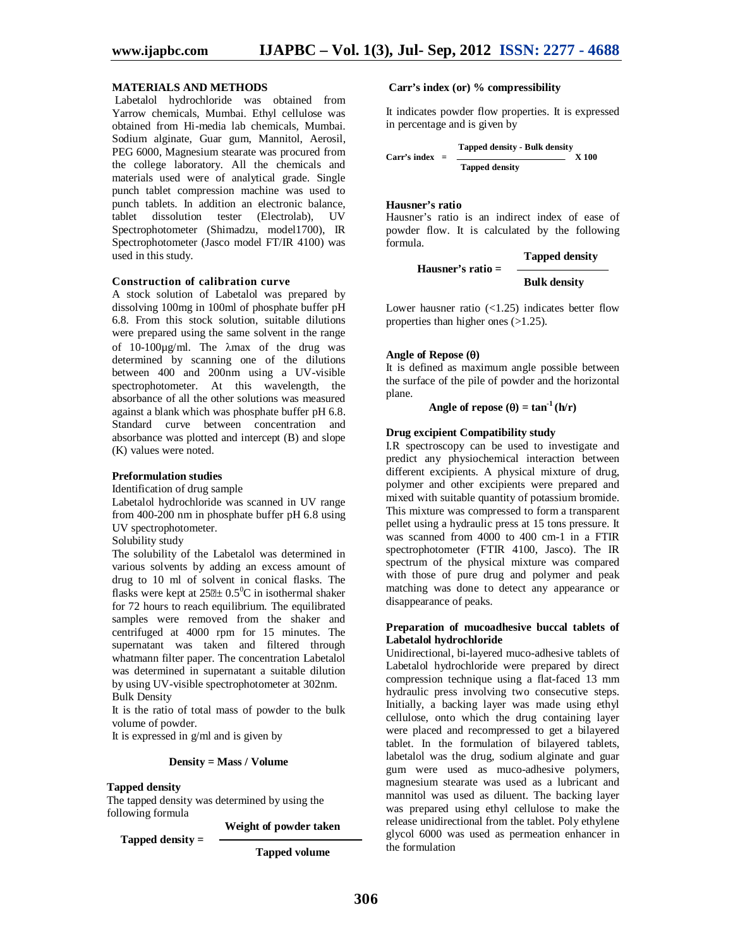# **MATERIALS AND METHODS**

Labetalol hydrochloride was obtained from Yarrow chemicals, Mumbai. Ethyl cellulose was obtained from Hi-media lab chemicals, Mumbai. Sodium alginate, Guar gum, Mannitol, Aerosil, PEG 6000, Magnesium stearate was procured from the college laboratory. All the chemicals and materials used were of analytical grade. Single punch tablet compression machine was used to punch tablets. In addition an electronic balance, tablet dissolution tester (Electrolab), UV Spectrophotometer (Shimadzu, model1700), IR Spectrophotometer (Jasco model FT/IR 4100) was used in this study.

#### **Construction of calibration curve**

A stock solution of Labetalol was prepared by dissolving 100mg in 100ml of phosphate buffer pH 6.8. From this stock solution, suitable dilutions were prepared using the same solvent in the range of  $10-100\mu$ g/ml. The  $\lambda$ max of the drug was determined by scanning one of the dilutions between 400 and 200nm using a UV-visible spectrophotometer. At this wavelength, the absorbance of all the other solutions was measured against a blank which was phosphate buffer pH 6.8. Standard curve between concentration and absorbance was plotted and intercept (B) and slope (K) values were noted.

#### **Preformulation studies**

Identification of drug sample

Labetalol hydrochloride was scanned in UV range from 400-200 nm in phosphate buffer pH 6.8 using UV spectrophotometer.

Solubility study

The solubility of the Labetalol was determined in various solvents by adding an excess amount of drug to 10 ml of solvent in conical flasks. The flasks were kept at  $25\overline{e} \pm 0.5^0$ C in isothermal shaker for 72 hours to reach equilibrium. The equilibrated samples were removed from the shaker and centrifuged at 4000 rpm for 15 minutes. The supernatant was taken and filtered through whatmann filter paper. The concentration Labetalol was determined in supernatant a suitable dilution by using UV-visible spectrophotometer at 302nm. Bulk Density

It is the ratio of total mass of powder to the bulk volume of powder.

It is expressed in g/ml and is given by

#### **Density = Mass / Volume**

#### **Tapped density**

The tapped density was determined by using the following formula

**Weight of powder taken**

 **Tapped density =** 

 **Tapped volume** 

#### **Carr's index (or) % compressibility**

It indicates powder flow properties. It is expressed in percentage and is given by

Carr's index = 
$$
\frac{\text{Tapped density - Bulk density}}{\text{Tapped density}} \times 100
$$

#### **Hausner's ratio**

Hausner's ratio is an indirect index of ease of powder flow. It is calculated by the following formula.

Hausner's ratio = 
$$
\frac{\text{Tapped density}}{\text{Bulk density}}
$$

Lower hausner ratio  $\left($  < 1.25) indicates better flow properties than higher ones (>1.25).

#### **Angle of Repose ()**

It is defined as maximum angle possible between the surface of the pile of powder and the horizontal plane.

Angle of repose  $(\theta) = \tan^{-1} (h/r)$ 

#### **Drug excipient Compatibility study**

I.R spectroscopy can be used to investigate and predict any physiochemical interaction between different excipients. A physical mixture of drug, polymer and other excipients were prepared and mixed with suitable quantity of potassium bromide. This mixture was compressed to form a transparent pellet using a hydraulic press at 15 tons pressure. It was scanned from 4000 to 400 cm-1 in a FTIR spectrophotometer (FTIR 4100, Jasco). The IR spectrum of the physical mixture was compared with those of pure drug and polymer and peak matching was done to detect any appearance or disappearance of peaks.

#### **Preparation of mucoadhesive buccal tablets of Labetalol hydrochloride**

Unidirectional, bi-layered muco-adhesive tablets of Labetalol hydrochloride were prepared by direct compression technique using a flat-faced 13 mm hydraulic press involving two consecutive steps. Initially, a backing layer was made using ethyl cellulose, onto which the drug containing layer were placed and recompressed to get a bilayered tablet. In the formulation of bilayered tablets, labetalol was the drug, sodium alginate and guar gum were used as muco-adhesive polymers, magnesium stearate was used as a lubricant and mannitol was used as diluent. The backing layer was prepared using ethyl cellulose to make the release unidirectional from the tablet. Poly ethylene glycol 6000 was used as permeation enhancer in the formulation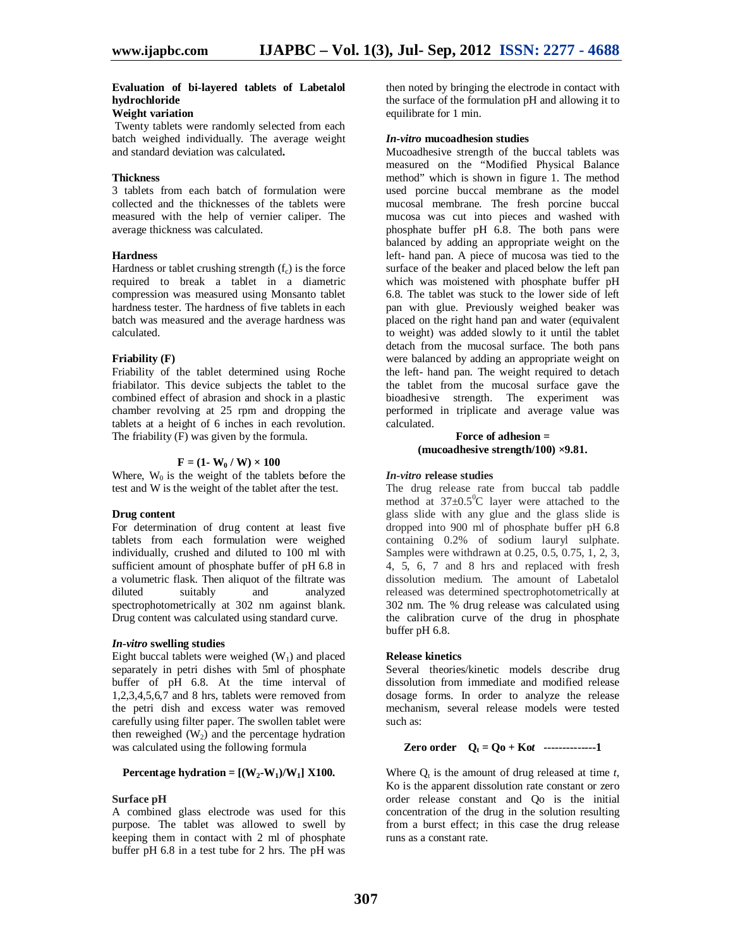# **Evaluation of bi-layered tablets of Labetalol hydrochloride**

# **Weight variation**

Twenty tablets were randomly selected from each batch weighed individually. The average weight and standard deviation was calculated**.** 

#### **Thickness**

3 tablets from each batch of formulation were collected and the thicknesses of the tablets were measured with the help of vernier caliper. The average thickness was calculated.

#### **Hardness**

Hardness or tablet crushing strength  $(f_c)$  is the force required to break a tablet in a diametric compression was measured using Monsanto tablet hardness tester. The hardness of five tablets in each batch was measured and the average hardness was calculated.

#### **Friability (F)**

Friability of the tablet determined using Roche friabilator. This device subjects the tablet to the combined effect of abrasion and shock in a plastic chamber revolving at 25 rpm and dropping the tablets at a height of 6 inches in each revolution. The friability (F) was given by the formula.

#### $F = (1 - W_0 / W) \times 100$

Where,  $W_0$  is the weight of the tablets before the test and W is the weight of the tablet after the test.

#### **Drug content**

For determination of drug content at least five tablets from each formulation were weighed individually, crushed and diluted to 100 ml with sufficient amount of phosphate buffer of pH 6.8 in a volumetric flask. Then aliquot of the filtrate was analyzed spectrophotometrically at 302 nm against blank. Drug content was calculated using standard curve.

#### *In-vitro* **swelling studies**

Eight buccal tablets were weighed  $(W_1)$  and placed separately in petri dishes with 5ml of phosphate buffer of pH 6.8. At the time interval of 1,2,3,4,5,6,7 and 8 hrs, tablets were removed from the petri dish and excess water was removed carefully using filter paper. The swollen tablet were then reweighed  $(W_2)$  and the percentage hydration was calculated using the following formula

#### **Percentage hydration =**  $[(W_2-W_1)/W_1]$  **X100.**

#### **Surface pH**

A combined glass electrode was used for this purpose. The tablet was allowed to swell by keeping them in contact with 2 ml of phosphate buffer pH 6.8 in a test tube for 2 hrs. The pH was

then noted by bringing the electrode in contact with the surface of the formulation pH and allowing it to equilibrate for 1 min.

#### *In-vitro* **mucoadhesion studies**

Mucoadhesive strength of the buccal tablets was measured on the "Modified Physical Balance method" which is shown in figure 1. The method used porcine buccal membrane as the model mucosal membrane. The fresh porcine buccal mucosa was cut into pieces and washed with phosphate buffer pH 6.8. The both pans were balanced by adding an appropriate weight on the left- hand pan. A piece of mucosa was tied to the surface of the beaker and placed below the left pan which was moistened with phosphate buffer pH 6.8. The tablet was stuck to the lower side of left pan with glue. Previously weighed beaker was placed on the right hand pan and water (equivalent to weight) was added slowly to it until the tablet detach from the mucosal surface. The both pans were balanced by adding an appropriate weight on the left- hand pan. The weight required to detach the tablet from the mucosal surface gave the bioadhesive strength. The experiment was performed in triplicate and average value was calculated.

#### **Force of adhesion = (mucoadhesive strength/100) ×9.81.**

#### *In-vitro* **release studies**

The drug release rate from buccal tab paddle method at  $37\pm0.5^{\circ}$ C layer were attached to the glass slide with any glue and the glass slide is dropped into 900 ml of phosphate buffer pH 6.8 containing 0.2% of sodium lauryl sulphate. Samples were withdrawn at 0.25, 0.5, 0.75, 1, 2, 3, 4, 5, 6, 7 and 8 hrs and replaced with fresh dissolution medium. The amount of Labetalol released was determined spectrophotometrically at 302 nm. The % drug release was calculated using the calibration curve of the drug in phosphate buffer pH 6.8.

## **Release kinetics**

Several theories/kinetic models describe drug dissolution from immediate and modified release dosage forms. In order to analyze the release mechanism, several release models were tested such as:

Zero order 
$$
Q_t = Q_0 + K_0t
$$
 \n............1

Where  $Q_t$  is the amount of drug released at time  $t$ , Ko is the apparent dissolution rate constant or zero order release constant and Qo is the initial concentration of the drug in the solution resulting from a burst effect; in this case the drug release runs as a constant rate.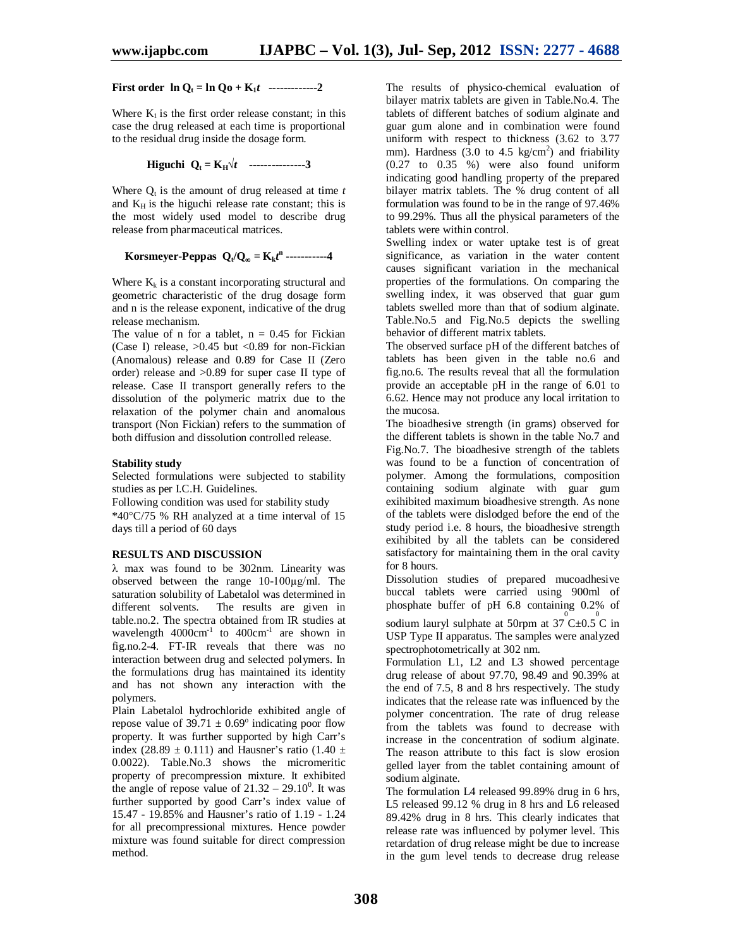# **First order ln Q**<sub>t</sub> = ln Q<sub>0</sub> + K<sub>1</sub>*t* --------------2

Where  $K_1$  is the first order release constant; in this case the drug released at each time is proportional to the residual drug inside the dosage form.

**Higher** 
$$
Q_t = K_H \sqrt{t}
$$
 **........** 3

Where  $Q_t$  is the amount of drug released at time  $t$ and  $K_H$  is the higuchi release rate constant; this is the most widely used model to describe drug release from pharmaceutical matrices.

# **Korsmeyer-Peppas**  $Q_t/Q_\infty = K_k t^n$  -----------4

Where  $K_k$  is a constant incorporating structural and geometric characteristic of the drug dosage form and n is the release exponent, indicative of the drug release mechanism.

The value of n for a tablet,  $n = 0.45$  for Fickian (Case I) release,  $>0.45$  but <0.89 for non-Fickian (Anomalous) release and 0.89 for Case II (Zero order) release and >0.89 for super case II type of release. Case II transport generally refers to the dissolution of the polymeric matrix due to the relaxation of the polymer chain and anomalous transport (Non Fickian) refers to the summation of both diffusion and dissolution controlled release.

# **Stability study**

Selected formulations were subjected to stability studies as per I.C.H. Guidelines.

Following condition was used for stability study

 $*40^{\circ}$ C/75 % RH analyzed at a time interval of 15 days till a period of 60 days

#### **RESULTS AND DISCUSSION**

 $\lambda$  max was found to be 302nm. Linearity was observed between the range 10-100µg/ml. The saturation solubility of Labetalol was determined in different solvents. The results are given in table.no.2. The spectra obtained from IR studies at wavelength  $4000 \text{cm}^{-1}$  to  $400 \text{cm}^{-1}$  are shown in fig.no.2-4. FT-IR reveals that there was no interaction between drug and selected polymers. In the formulations drug has maintained its identity and has not shown any interaction with the polymers.

Plain Labetalol hydrochloride exhibited angle of repose value of  $39.71 \pm 0.69$ <sup>o</sup> indicating poor flow property. It was further supported by high Carr's index (28.89  $\pm$  0.111) and Hausner's ratio (1.40  $\pm$ 0.0022). Table.No.3 shows the micromeritic property of precompression mixture. It exhibited the angle of repose value of  $21.32 - 29.10^0$ . It was further supported by good Carr's index value of 15.47 - 19.85% and Hausner's ratio of 1.19 - 1.24 for all precompressional mixtures. Hence powder mixture was found suitable for direct compression method.

The results of physico-chemical evaluation of bilayer matrix tablets are given in Table.No.4. The tablets of different batches of sodium alginate and guar gum alone and in combination were found uniform with respect to thickness (3.62 to 3.77 mm). Hardness  $(3.0 \text{ to } 4.5 \text{ kg/cm}^2)$  and friability (0.27 to 0.35 %) were also found uniform indicating good handling property of the prepared bilayer matrix tablets. The % drug content of all formulation was found to be in the range of 97.46% to 99.29%. Thus all the physical parameters of the tablets were within control.

Swelling index or water uptake test is of great significance, as variation in the water content causes significant variation in the mechanical properties of the formulations. On comparing the swelling index, it was observed that guar gum tablets swelled more than that of sodium alginate. Table.No.5 and Fig.No.5 depicts the swelling behavior of different matrix tablets.

The observed surface pH of the different batches of tablets has been given in the table no.6 and fig.no.6. The results reveal that all the formulation provide an acceptable pH in the range of 6.01 to 6.62. Hence may not produce any local irritation to the mucosa.

The bioadhesive strength (in grams) observed for the different tablets is shown in the table No.7 and Fig.No.7. The bioadhesive strength of the tablets was found to be a function of concentration of polymer. Among the formulations, composition containing sodium alginate with guar gum exihibited maximum bioadhesive strength. As none of the tablets were dislodged before the end of the study period i.e. 8 hours, the bioadhesive strength exihibited by all the tablets can be considered satisfactory for maintaining them in the oral cavity for 8 hours.

Dissolution studies of prepared mucoadhesive buccal tablets were carried using 900ml of phosphate buffer of pH 6.8 containing  $0.2\%$  of

sodium lauryl sulphate at 50rpm at 37 C $\pm$ 0.5 C in USP Type II apparatus. The samples were analyzed spectrophotometrically at 302 nm.

Formulation L1, L2 and L3 showed percentage drug release of about 97.70, 98.49 and 90.39% at the end of 7.5, 8 and 8 hrs respectively. The study indicates that the release rate was influenced by the polymer concentration. The rate of drug release from the tablets was found to decrease with increase in the concentration of sodium alginate. The reason attribute to this fact is slow erosion gelled layer from the tablet containing amount of sodium alginate.

The formulation L4 released 99.89% drug in 6 hrs, L5 released 99.12 % drug in 8 hrs and L6 released 89.42% drug in 8 hrs. This clearly indicates that release rate was influenced by polymer level. This retardation of drug release might be due to increase in the gum level tends to decrease drug release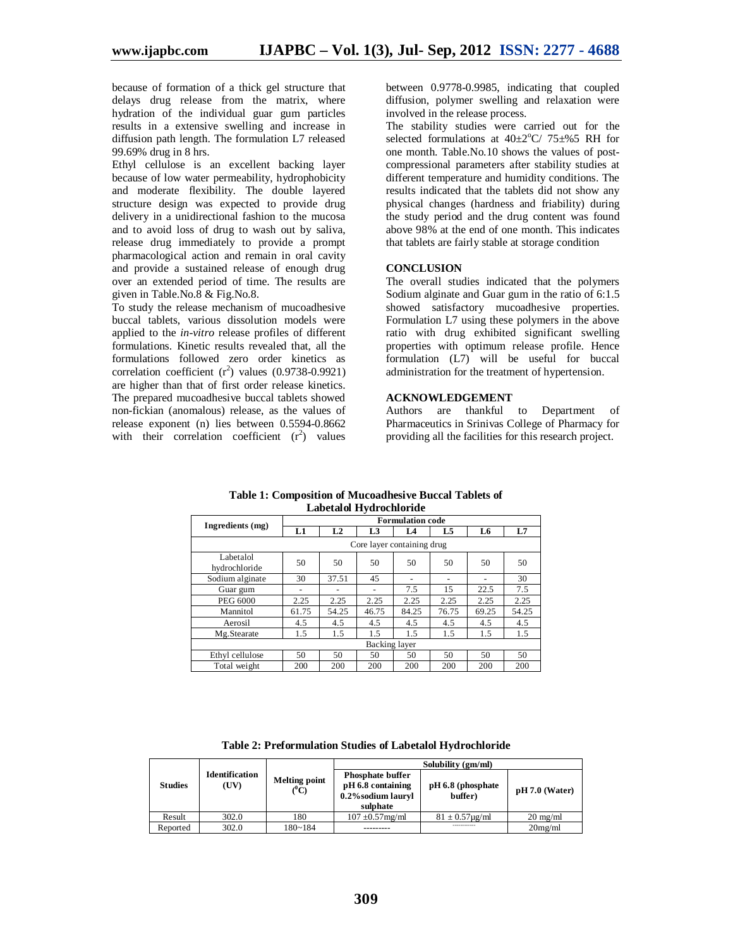because of formation of a thick gel structure that delays drug release from the matrix, where hydration of the individual guar gum particles results in a extensive swelling and increase in diffusion path length. The formulation L7 released 99.69% drug in 8 hrs.

Ethyl cellulose is an excellent backing layer because of low water permeability, hydrophobicity and moderate flexibility. The double layered structure design was expected to provide drug delivery in a unidirectional fashion to the mucosa and to avoid loss of drug to wash out by saliva, release drug immediately to provide a prompt pharmacological action and remain in oral cavity and provide a sustained release of enough drug over an extended period of time. The results are given in Table.No.8 & Fig.No.8.

To study the release mechanism of mucoadhesive buccal tablets, various dissolution models were applied to the *in-vitro* release profiles of different formulations. Kinetic results revealed that, all the formulations followed zero order kinetics as correlation coefficient  $(r^2)$  values  $(0.9738-0.9921)$ are higher than that of first order release kinetics. The prepared mucoadhesive buccal tablets showed non-fickian (anomalous) release, as the values of release exponent (n) lies between 0.5594-0.8662 with their correlation coefficient  $(r^2)$  values between 0.9778-0.9985, indicating that coupled diffusion, polymer swelling and relaxation were involved in the release process.

The stability studies were carried out for the selected formulations at  $40\pm2\degree C/75\pm\%5$  RH for one month. Table.No.10 shows the values of postcompressional parameters after stability studies at different temperature and humidity conditions. The results indicated that the tablets did not show any physical changes (hardness and friability) during the study period and the drug content was found above 98% at the end of one month. This indicates that tablets are fairly stable at storage condition

#### **CONCLUSION**

The overall studies indicated that the polymers Sodium alginate and Guar gum in the ratio of 6:1.5 showed satisfactory mucoadhesive properties. Formulation L7 using these polymers in the above ratio with drug exhibited significant swelling properties with optimum release profile. Hence formulation (L7) will be useful for buccal administration for the treatment of hypertension.

#### **ACKNOWLEDGEMENT**

Authors are thankful to Department of Pharmaceutics in Srinivas College of Pharmacy for providing all the facilities for this research project.

| Ingredients (mg)           | <b>Formulation code</b> |       |                |       |                          |       |       |  |
|----------------------------|-------------------------|-------|----------------|-------|--------------------------|-------|-------|--|
|                            | L1                      | L2    | L <sub>3</sub> | IA    | L5                       | L6    | L7    |  |
| Core layer containing drug |                         |       |                |       |                          |       |       |  |
| Labetalol<br>hydrochloride | 50                      | 50    | 50             | 50    | 50                       | 50    | 50    |  |
| Sodium alginate            | 30                      | 37.51 | 45             | ٠     | $\overline{\phantom{0}}$ |       | 30    |  |
| Guar gum                   |                         |       |                | 7.5   | 15                       | 22.5  | 7.5   |  |
| <b>PEG 6000</b>            | 2.25                    | 2.25  | 2.25           | 2.25  | 2.25                     | 2.25  | 2.25  |  |
| Mannitol                   | 61.75                   | 54.25 | 46.75          | 84.25 | 76.75                    | 69.25 | 54.25 |  |
| Aerosil                    | 4.5                     | 4.5   | 4.5            | 4.5   | 4.5                      | 4.5   | 4.5   |  |
| Mg.Stearate                | 1.5                     | 1.5   | 1.5            | 1.5   | 1.5                      | 1.5   | 1.5   |  |
| Backing layer              |                         |       |                |       |                          |       |       |  |
| Ethyl cellulose            | 50                      | 50    | 50             | 50    | 50                       | 50    | 50    |  |
| Total weight               | 200                     | 200   | 200            | 200   | 200                      | 200   | 200   |  |

**Table 1: Composition of Mucoadhesive Buccal Tablets of Labetalol Hydrochloride**

**Table 2: Preformulation Studies of Labetalol Hydrochloride**

|                |                               |                                 | Solubility (gm/ml)                                                             |                              |                    |  |  |
|----------------|-------------------------------|---------------------------------|--------------------------------------------------------------------------------|------------------------------|--------------------|--|--|
| <b>Studies</b> | <b>Identification</b><br>(UV) | <b>Melting point</b><br>$(^0C)$ | <b>Phosphate buffer</b><br>pH 6.8 containing<br>0.2% sodium lauryl<br>sulphate | pH 6.8 (phosphate<br>buffer) | $pH 7.0$ (Water)   |  |  |
| Result         | 302.0                         | 180                             | $107 \pm 0.57$ mg/ml                                                           | $81 \pm 0.57$ ug/ml          | $20 \text{ mg/ml}$ |  |  |
| Reported       | 302.0                         | 180~184                         |                                                                                |                              | 20mg/ml            |  |  |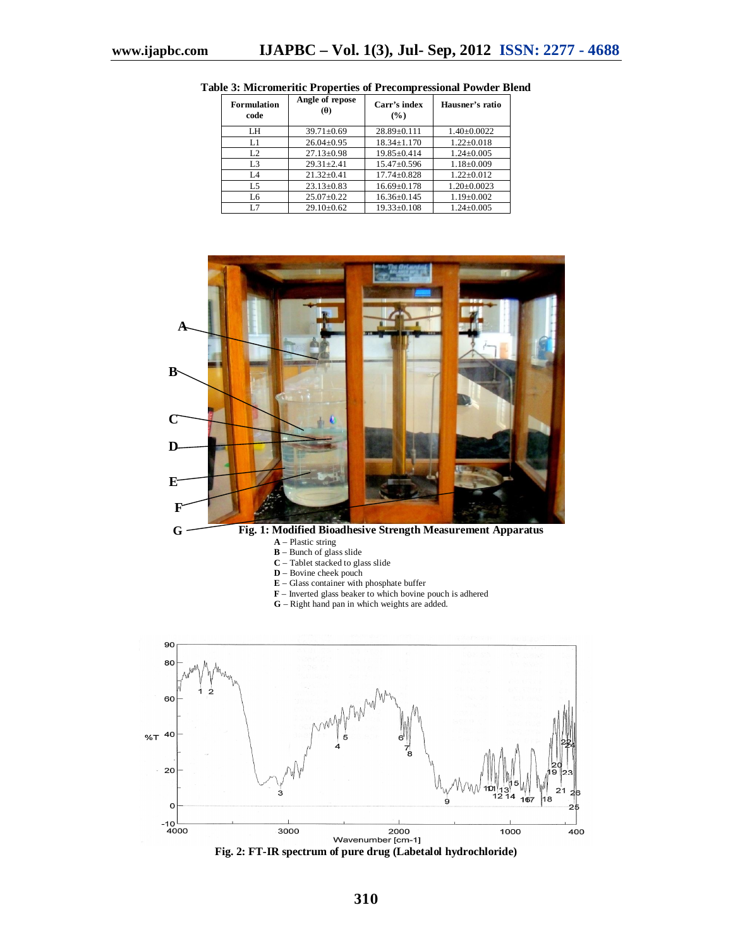| <b>Formulation</b><br>code | Angle of repose<br>(0) | Carr's index<br>(%) | Hausner's ratio   |
|----------------------------|------------------------|---------------------|-------------------|
| LH                         | $39.71 \pm 0.69$       | $28.89 \pm 0.111$   | $1.40 \pm 0.0022$ |
| L1                         | $26.04 \pm 0.95$       | $18.34 \pm 1.170$   | $1.22 \pm 0.018$  |
| L2                         | $27.13 \pm 0.98$       | $19.85 \pm 0.414$   | $1.24 \pm 0.005$  |
| L3                         | $29.31 + 2.41$         | $15.47 \pm 0.596$   | $1.18 \pm 0.009$  |
| IA                         | $21.32 + 0.41$         | $17.74 \pm 0.828$   | $1.22 \pm 0.012$  |
| L5                         | $23.13 \pm 0.83$       | $16.69 \pm 0.178$   | $1.20 \pm 0.0023$ |
| L6                         | $25.07 \pm 0.22$       | $16.36 \pm 0.145$   | $1.19 \pm 0.002$  |
| L7                         | $29.10 \pm 0.62$       | $19.33 \pm 0.108$   | $1.24 \pm 0.005$  |

**Table 3: Micromeritic Properties of Precompressional Powder Blend**





**Fig. 2: FT-IR spectrum of pure drug (Labetalol hydrochloride)**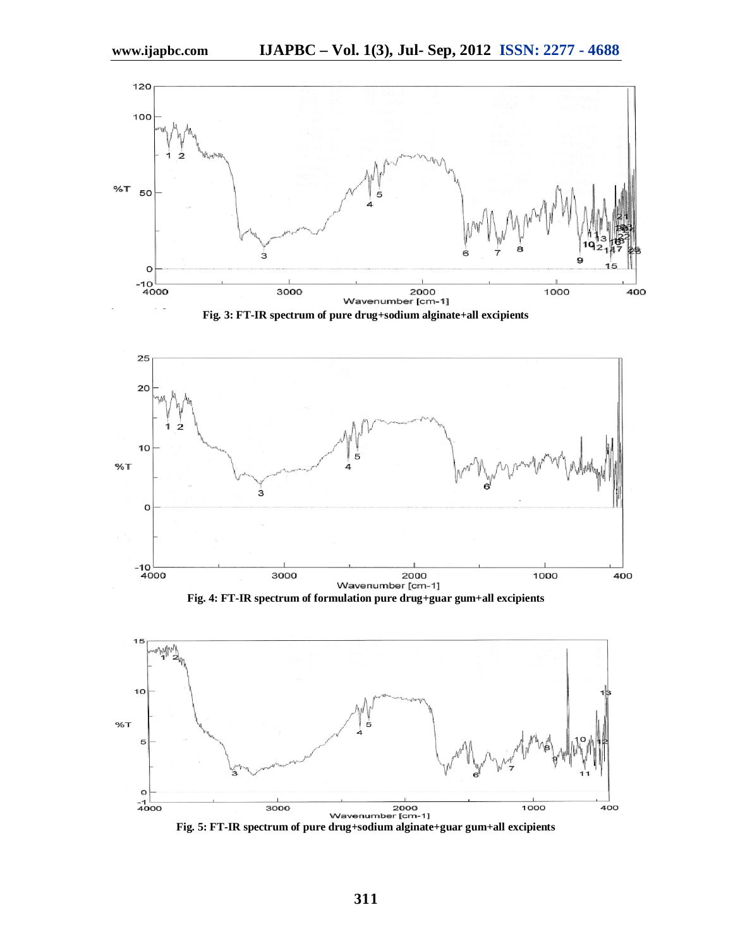









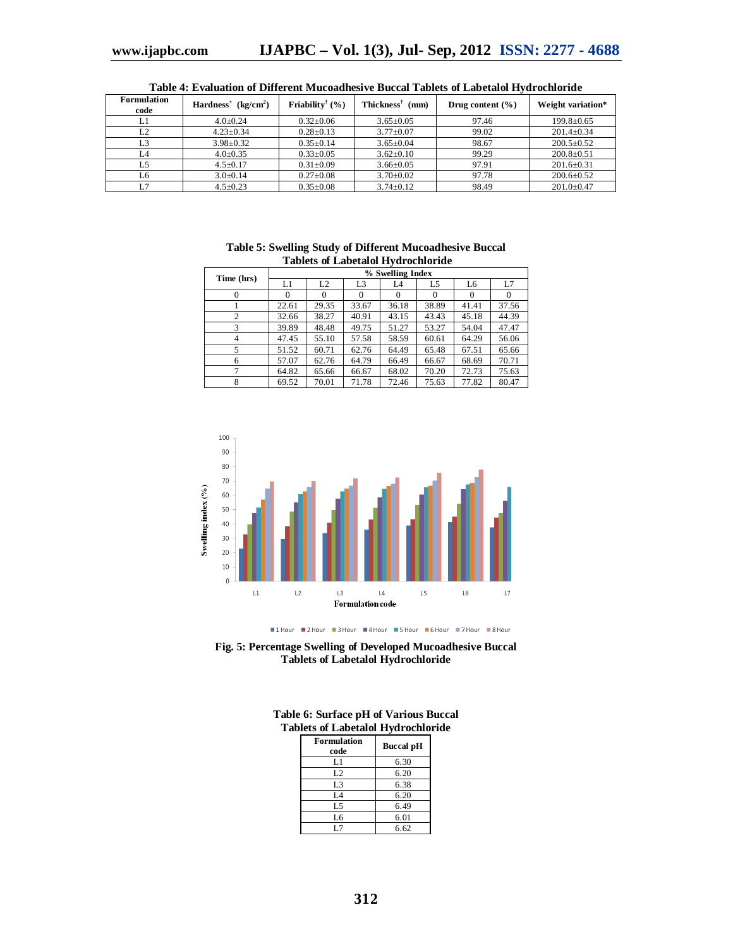| <b>Formulation</b><br>code | $Hardness^+(kg/cm^2)$ | Friability <sup>†</sup> $(\% )$ | <b>Thickness</b> <sup>†</sup><br>(mm) | Drug content $(\% )$ | Weight variation* |
|----------------------------|-----------------------|---------------------------------|---------------------------------------|----------------------|-------------------|
| LI                         | $4.0+0.24$            | $0.32 + 0.06$                   | $3.65 \pm 0.05$                       | 97.46                | $199.8 \pm 0.65$  |
| L2                         | $4.23 \pm 0.34$       | $0.28 \pm 0.13$                 | $3.77 \pm 0.07$                       | 99.02                | $201.4 \pm 0.34$  |
| L3                         | $3.98 \pm 0.32$       | $0.35+0.14$                     | $3.65 + 0.04$                         | 98.67                | $200.5 + 0.52$    |
| I 4                        | $4.0 \pm 0.35$        | $0.33 \pm 0.05$                 | $3.62 \pm 0.10$                       | 99.29                | $200.8 \pm 0.51$  |
|                            | $4.5 \pm 0.17$        | $0.31 \pm 0.09$                 | $3.66 \pm 0.05$                       | 97.91                | $201.6 \pm 0.31$  |
| L6                         | $3.0 \pm 0.14$        | $0.27 \pm 0.08$                 | $3.70 \pm 0.02$                       | 97.78                | $200.6 \pm 0.52$  |
| L.7                        | $4.5 \pm 0.23$        | $0.35 \pm 0.08$                 | $3.74 \pm 0.12$                       | 98.49                | $201.0 \pm 0.47$  |

| <b>Table 5: Swelling Study of Different Mucoadhesive Buccal</b> |  |
|-----------------------------------------------------------------|--|
| <b>Tablets of Labetalol Hydrochloride</b>                       |  |

| Time (hrs) | % Swelling Index |          |          |          |       |          |          |  |  |
|------------|------------------|----------|----------|----------|-------|----------|----------|--|--|
|            | L1               | L2       | L3       | L4       | L5    | L6       | L7       |  |  |
| $\Omega$   | $\Omega$         | $\Omega$ | $\theta$ | $\Omega$ |       | $\Omega$ | $\Omega$ |  |  |
|            | 22.61            | 29.35    | 33.67    | 36.18    | 38.89 | 41.41    | 37.56    |  |  |
| 2          | 32.66            | 38.27    | 40.91    | 43.15    | 43.43 | 45.18    | 44.39    |  |  |
| 3          | 39.89            | 48.48    | 49.75    | 51.27    | 53.27 | 54.04    | 47.47    |  |  |
| 4          | 47.45            | 55.10    | 57.58    | 58.59    | 60.61 | 64.29    | 56.06    |  |  |
| 5          | 51.52            | 60.71    | 62.76    | 64.49    | 65.48 | 67.51    | 65.66    |  |  |
| 6          | 57.07            | 62.76    | 64.79    | 66.49    | 66.67 | 68.69    | 70.71    |  |  |
|            | 64.82            | 65.66    | 66.67    | 68.02    | 70.20 | 72.73    | 75.63    |  |  |
| 8          | 69.52            | 70.01    | 71.78    | 72.46    | 75.63 | 77.82    | 80.47    |  |  |



■1Hour ■2Hour ■3Hour ■4Hour ■5Hour ■6Hour ■7Hour ■8Hour



| Table 6: Surface pH of Various Buccal     |
|-------------------------------------------|
| <b>Tablets of Labetalol Hydrochloride</b> |

| <b>Formulation</b><br>code | <b>Buccal pH</b> |
|----------------------------|------------------|
| L1                         | 6.30             |
| L <sub>2</sub>             | 6.20             |
| L3                         | 6.38             |
| L4                         | 6.20             |
| L <sub>5</sub>             | 6.49             |
| L6                         | 6.01             |
| L.7                        | 6.62             |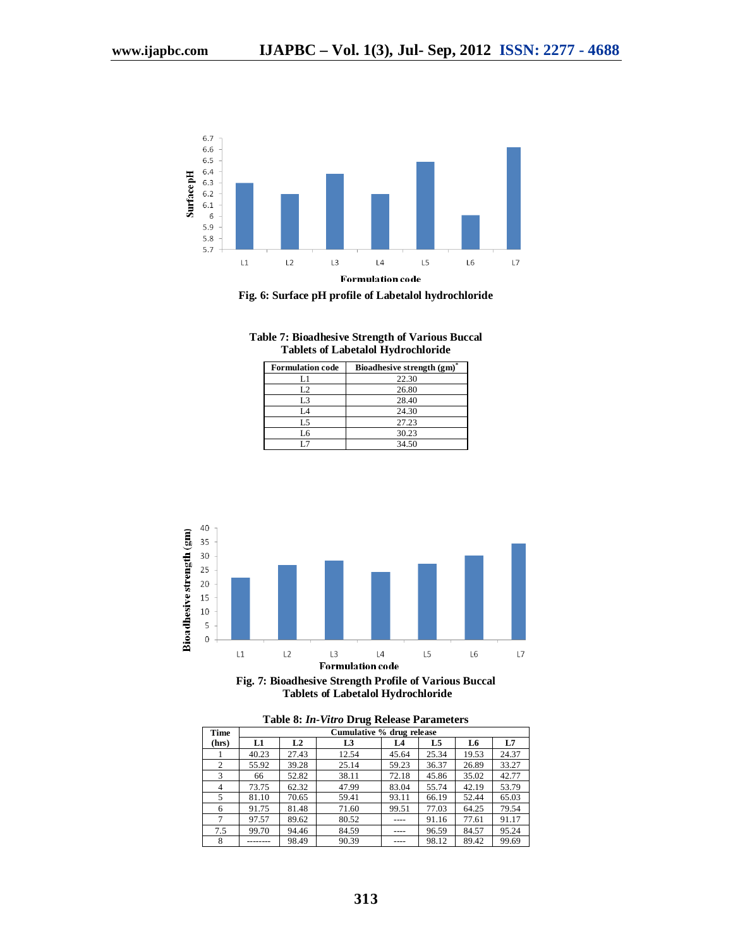

**Fig. 6: Surface pH profile of Labetalol hydrochloride**

**Table 7: Bioadhesive Strength of Various Buccal Tablets of Labetalol Hydrochloride**

| <b>Formulation code</b> | Bioadhesive strength (gm) |
|-------------------------|---------------------------|
| L1                      | 22.30                     |
| L2                      | 26.80                     |
| L3                      | 28.40                     |
| L4                      | 24.30                     |
| L5                      | 27.23                     |
| L6                      | 30.23                     |
|                         | 34.50                     |



**Fig. 7: Bioadhesive Strength Profile of Various Buccal Tablets of Labetalol Hydrochloride**

| Time           | Cumulative % drug release |       |       |       |       |       |       |
|----------------|---------------------------|-------|-------|-------|-------|-------|-------|
| (hrs)          | L1                        | L2    | L3    | L4    | L5    | L6    | L7    |
|                | 40.23                     | 27.43 | 12.54 | 45.64 | 25.34 | 19.53 | 24.37 |
| $\mathfrak{2}$ | 55.92                     | 39.28 | 25.14 | 59.23 | 36.37 | 26.89 | 33.27 |
| 3              | 66                        | 52.82 | 38.11 | 72.18 | 45.86 | 35.02 | 42.77 |
| 4              | 73.75                     | 62.32 | 47.99 | 83.04 | 55.74 | 42.19 | 53.79 |
| 5              | 81.10                     | 70.65 | 59.41 | 93.11 | 66.19 | 52.44 | 65.03 |
| 6              | 91.75                     | 81.48 | 71.60 | 99.51 | 77.03 | 64.25 | 79.54 |
| 7              | 97.57                     | 89.62 | 80.52 |       | 91.16 | 77.61 | 91.17 |
| 7.5            | 99.70                     | 94.46 | 84.59 |       | 96.59 | 84.57 | 95.24 |
| 8              |                           | 98.49 | 90.39 |       | 98.12 | 89.42 | 99.69 |

**Table 8:** *In-Vitro* **Drug Release Parameters**